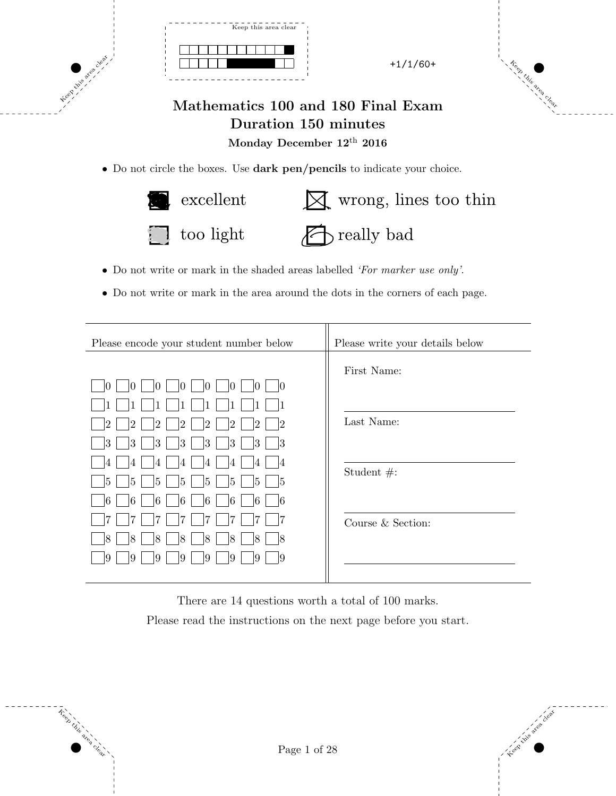



Keep this area clear

## Mathematics 100 and 180 Final Exam Duration 150 minutes Monday December  $12^{\rm th}$   $2016$

• Do not circle the boxes. Use dark pen/pencils to indicate your choice.



- Do not write or mark in the shaded areas labelled 'For marker use only'.
- Do not write or mark in the area around the dots in the corners of each page.

| Please encode your student number below                                                              | Please write your details below |  |
|------------------------------------------------------------------------------------------------------|---------------------------------|--|
|                                                                                                      | First Name:                     |  |
| 10<br>Ю<br>10<br>10<br>Ю<br>$\mathbf{0}$<br>(O                                                       |                                 |  |
|                                                                                                      |                                 |  |
| $\overline{2}$<br>$ 2\rangle$<br>12<br>12<br>$\overline{2}$<br>$\overline{2}$<br>2<br>$\overline{2}$ | Last Name:                      |  |
| 3<br>3<br> 3<br>$ 3\rangle$<br> 3<br> 3<br> 3<br>3                                                   |                                 |  |
| 4<br>4<br>4<br>4<br>4<br>4<br>4<br>4                                                                 |                                 |  |
| 5<br>5<br>5<br>5<br>15<br>15<br>5<br>15                                                              | Student $#$ :                   |  |
| 6 <br>6<br>6<br>16<br>16<br>6<br>61<br>16                                                            |                                 |  |
| 7                                                                                                    | Course & Section:               |  |
| $\overline{8}$<br>18<br> 8<br>8<br>18<br>8<br>18<br>18                                               |                                 |  |
| 9<br> 9<br> 9<br>19<br>19<br>19<br>19<br>19                                                          |                                 |  |
|                                                                                                      |                                 |  |

There are 14 questions worth a total of 100 marks.

Please read the instructions on the next page before you start.



**Keep Cee**p Ceep Ceep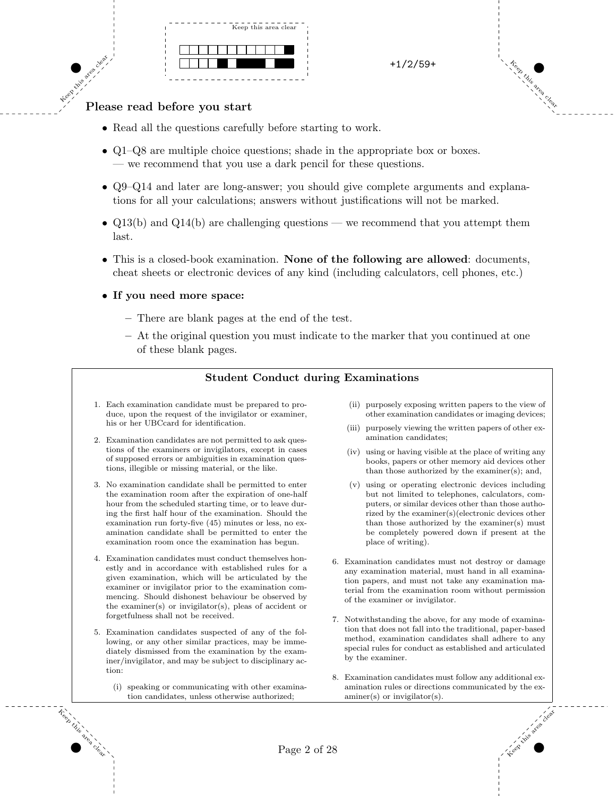



## Keep this area clear. Please read before you start

- Read all the questions carefully before starting to work.
- Q1–Q8 are multiple choice questions; shade in the appropriate box or boxes. — we recommend that you use a dark pencil for these questions.
- Q9–Q14 and later are long-answer; you should give complete arguments and explanations for all your calculations; answers without justifications will not be marked.
- Q13(b) and Q14(b) are challenging questions we recommend that you attempt them last.
- This is a closed-book examination. None of the following are allowed: documents, cheat sheets or electronic devices of any kind (including calculators, cell phones, etc.)
- If you need more space:
	- There are blank pages at the end of the test.
	- At the original question you must indicate to the marker that you continued at one of these blank pages.

## Student Conduct during Examinations

- 1. Each examination candidate must be prepared to produce, upon the request of the invigilator or examiner, his or her UBCcard for identification.
- 2. Examination candidates are not permitted to ask questions of the examiners or invigilators, except in cases of supposed errors or ambiguities in examination questions, illegible or missing material, or the like.
- 3. No examination candidate shall be permitted to enter the examination room after the expiration of one-half hour from the scheduled starting time, or to leave during the first half hour of the examination. Should the examination run forty-five (45) minutes or less, no examination candidate shall be permitted to enter the examination room once the examination has begun.
- 4. Examination candidates must conduct themselves honestly and in accordance with established rules for a given examination, which will be articulated by the examiner or invigilator prior to the examination commencing. Should dishonest behaviour be observed by the examiner(s) or invigilator(s), pleas of accident or forgetfulness shall not be received.
- 5. Examination candidates suspected of any of the following, or any other similar practices, may be immediately dismissed from the examination by the examiner/invigilator, and may be subject to disciplinary action:
	- (i) speaking or communicating with other examination candidates, unless otherwise authorized;
- (ii) purposely exposing written papers to the view of other examination candidates or imaging devices;
- (iii) purposely viewing the written papers of other examination candidates;
- (iv) using or having visible at the place of writing any books, papers or other memory aid devices other than those authorized by the examiner(s); and,
- (v) using or operating electronic devices including but not limited to telephones, calculators, computers, or similar devices other than those authorized by the examiner(s)(electronic devices other than those authorized by the examiner(s) must be completely powered down if present at the place of writing).
- 6. Examination candidates must not destroy or damage any examination material, must hand in all examination papers, and must not take any examination material from the examination room without permission of the examiner or invigilator.
- 7. Notwithstanding the above, for any mode of examination that does not fall into the traditional, paper-based method, examination candidates shall adhere to any special rules for conduct as established and articulated by the examiner.
- 8. Examination candidates must follow any additional examination rules or directions communicated by the examiner(s) or invigilator(s).

Keep this area clear



Keep this

area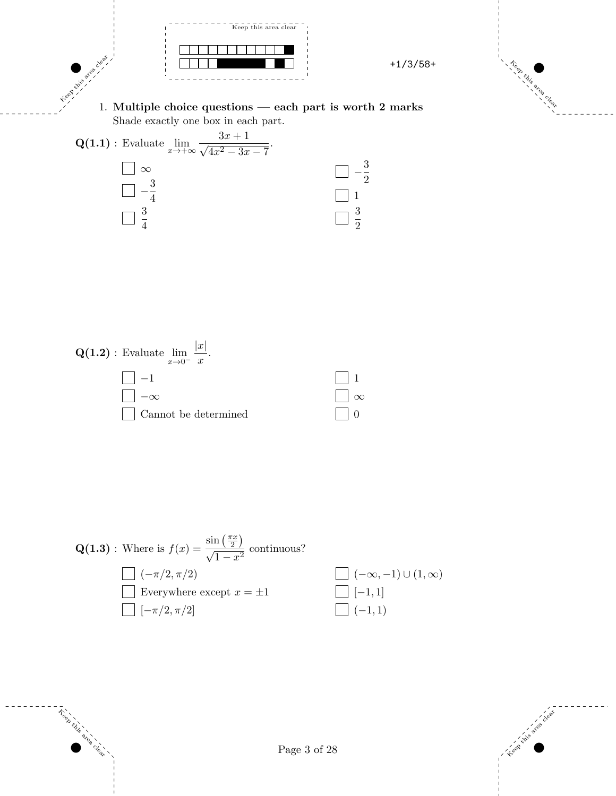



 $\tilde{\tau}_{\gamma}^{\circ\circ}$ 

area clear.

$$
\mathbf{Q(1.3)}: \text{ Where is } f(x) = \frac{\sin\left(\frac{\pi x}{2}\right)}{\sqrt{1 - x^2}} \text{ continuous?}
$$
\n
$$
\square(-\pi/2, \pi/2) \qquad \square(-\infty, -1) \cup (1, \infty)
$$
\n
$$
\square \text{ everywhere except } x = \pm 1 \qquad \square[-1, 1]
$$
\n
$$
\square[-\pi/2, \pi/2] \qquad \square(-1, 1)
$$



Page 3 of 28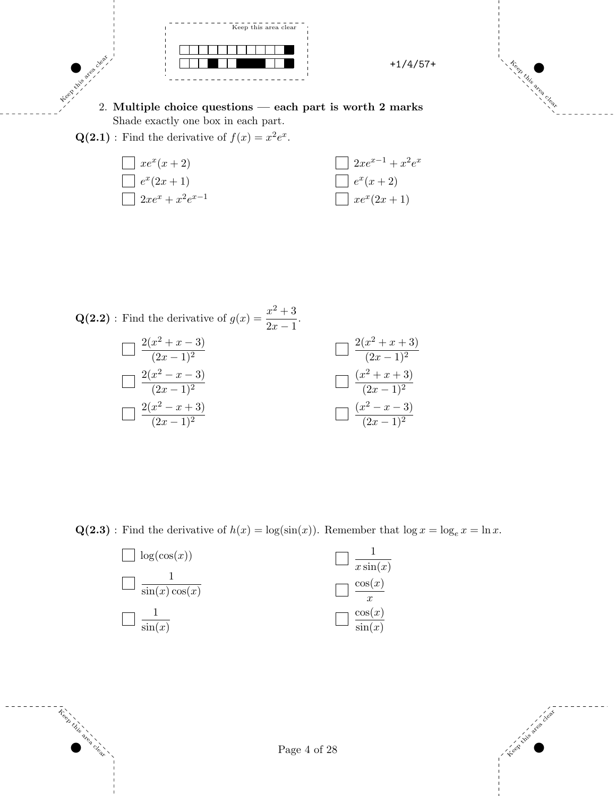



Keep this area clear. 2. Multiple choice questions — each part is worth 2 marks Shade exactly one box in each part.

 $\mathbf{Q(2.1)}$ : Find the derivative of  $f(x) = x^2 e^x$ .



 $\mathbf{Q(2.2)}$ : Find the derivative of  $g(x) = \frac{x^2 + 3}{2}$  $\frac{x+6}{2x-1}$ .

Keep this

area clear.

| $\boxed{2(x^2 + x - 3)}{(2x - 1)^2}$ | $\Box \frac{2(x^2+x+3)}{(2x-1)^2}$ |
|--------------------------------------|------------------------------------|
| $\Box \frac{2(x^2-x-3)}{(2x-1)^2}$   | $\Box \frac{(x^2+x+3)}{(2x-1)^2}$  |
| $\boxed{2(x^2-x+3)}{(2x-1)^2}$       | $\Box \frac{(x^2-x-3)}{(2x-1)^2}$  |

 $\mathbf{Q(2.3)}$ : Find the derivative of  $h(x) = \log(\sin(x))$ . Remember that  $\log x = \log_e x = \ln x$ .



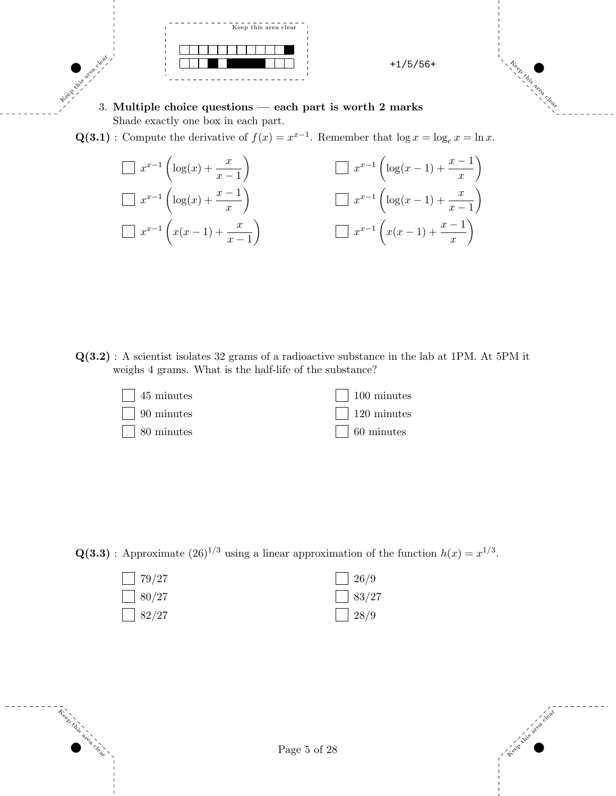

Keep this area clear. 3. Multiple choice questions — each part is worth 2 marks Shade exactly one box in each part.

 $\mathbf{Q(3.1)}:$  Compute the derivative of  $f(x) = x^{x-1}$ . Remember that  $\log x = \log_e x = \ln x$ .

$$
\Box x^{x-1} \left( \log(x) + \frac{x}{x-1} \right)
$$
\n
$$
\Box x^{x-1} \left( \log(x) + \frac{x-1}{x} \right)
$$
\n
$$
\Box x^{x-1} \left( \log(x) + \frac{x-1}{x} \right)
$$
\n
$$
\Box x^{x-1} \left( \log(x-1) + \frac{x}{x-1} \right)
$$
\n
$$
\Box x^{x-1} \left( x(x-1) + \frac{x}{x-1} \right)
$$
\n
$$
\Box x^{x-1} \left( x(x-1) + \frac{x-1}{x} \right)
$$

Q(3.2) : A scientist isolates 32 grams of a radioactive substance in the lab at 1PM. At 5PM it weighs 4 grams. What is the half-life of the substance?



 $\mathbf{Q(3.3)}$ : Approximate  $(26)^{1/3}$  using a linear approximation of the function  $h(x) = x^{1/3}$ .



Keep this

area clear.



**Keep this** 

area<br>1 Clear.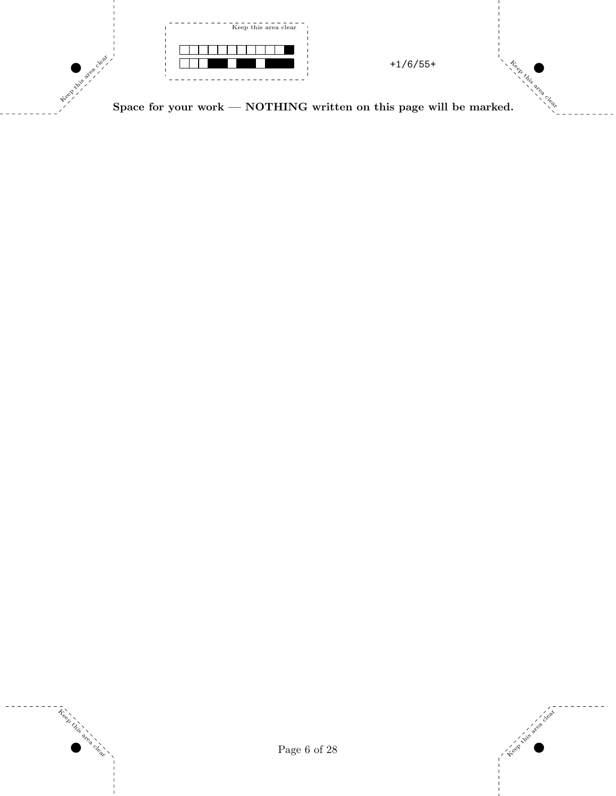

Space for your work —  $\rm{NOTHING}$  written on this page will be marked.



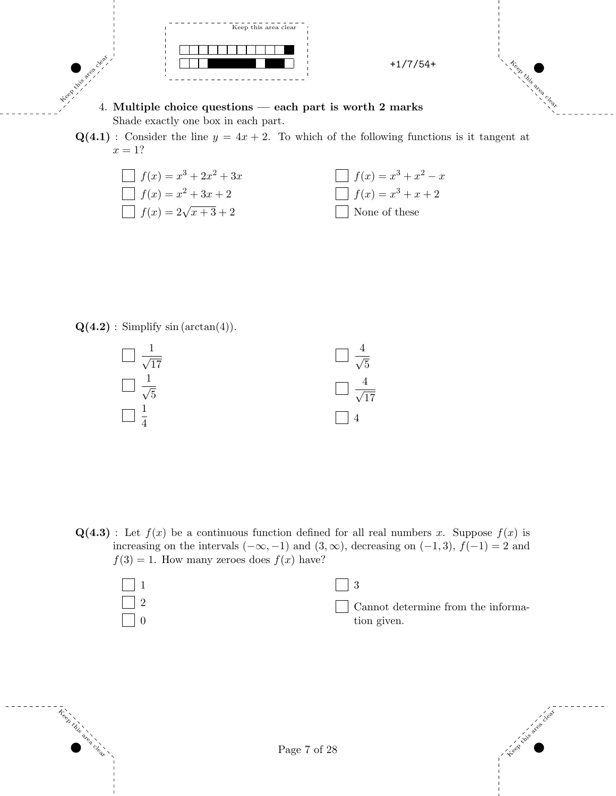

Keep this area clear. 4. Multiple choice questions — each part is worth 2 marks Shade exactly one box in each part.

 $Q(4.1)$ : Consider the line  $y = 4x + 2$ . To which of the following functions is it tangent at  $x=1?$ 



 $\mathbf{Q(4.2)}$ : Simplify sin (arctan(4)).

Keep this

area clear.



 $Q(4.3)$ : Let  $f(x)$  be a continuous function defined for all real numbers x. Suppose  $f(x)$  is increasing on the intervals  $(-\infty, -1)$  and  $(3, \infty)$ , decreasing on  $(-1, 3)$ ,  $f(-1) = 2$  and  $f(3) = 1$ . How many zeroes does  $f(x)$  have?

| $\vert$ Cannot determine from the informa- |
|--------------------------------------------|
| tion given.                                |



Clear.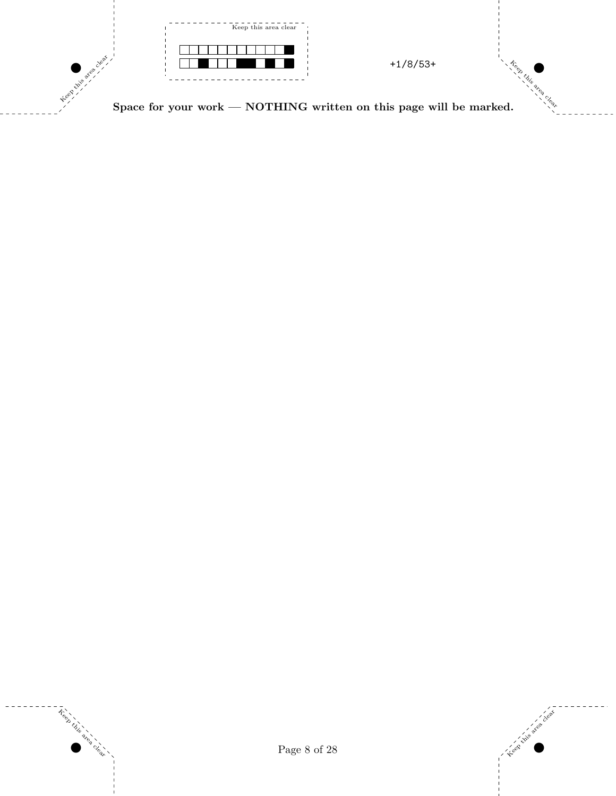

Space for your work —  $\rm{NOTHING}$  written on this page will be marked.



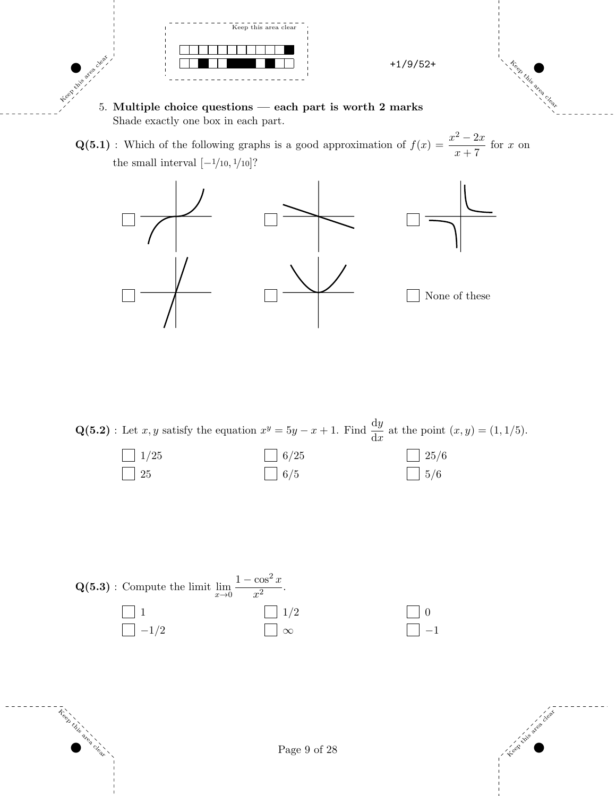

- Keep this area clear. 5. Multiple choice questions — each part is worth 2 marks Shade exactly one box in each part.
	- $\mathbf{Q(5.1)}$ : Which of the following graphs is a good approximation of  $f(x) = \frac{x^2 2x}{x}$  $\frac{2x}{x+7}$  for x on the small interval  $[-1/10, 1/10]$ ?



 $\mathbf{Q(5.2)}:$  Let  $x, y$  satisfy the equation  $x^y = 5y - x + 1$ . Find  $\frac{dy}{dx}$  at the point  $(x, y) = (1, 1/5)$ .

| $1/25$    | $\Box$ 6/25 | $\Box$ 25/6 |
|-----------|-------------|-------------|
| $\mid 25$ | $\Box$ 6/5  | $\Box$ 5/6  |



Keep this

area clear.



**Keep this** 

area<br>1 Clear.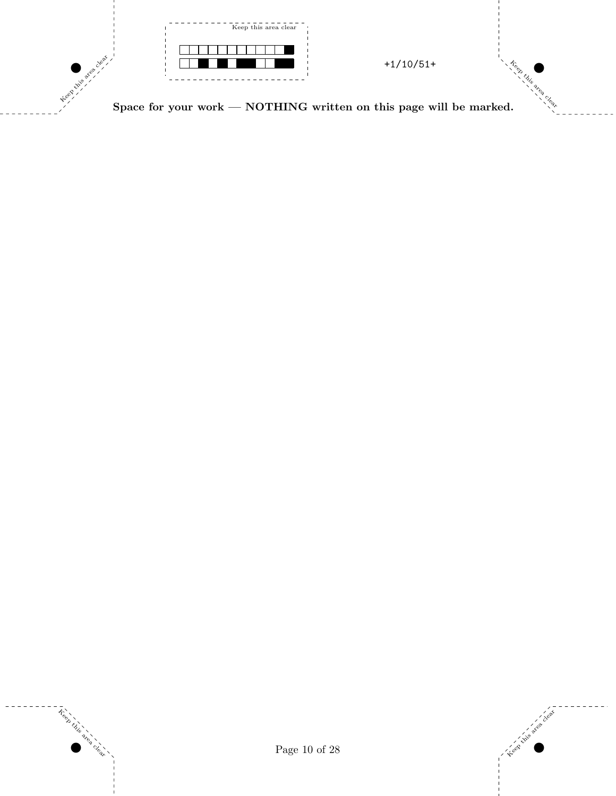

Space for your work —  $\rm{NOTHING}$  written on this page will be marked.



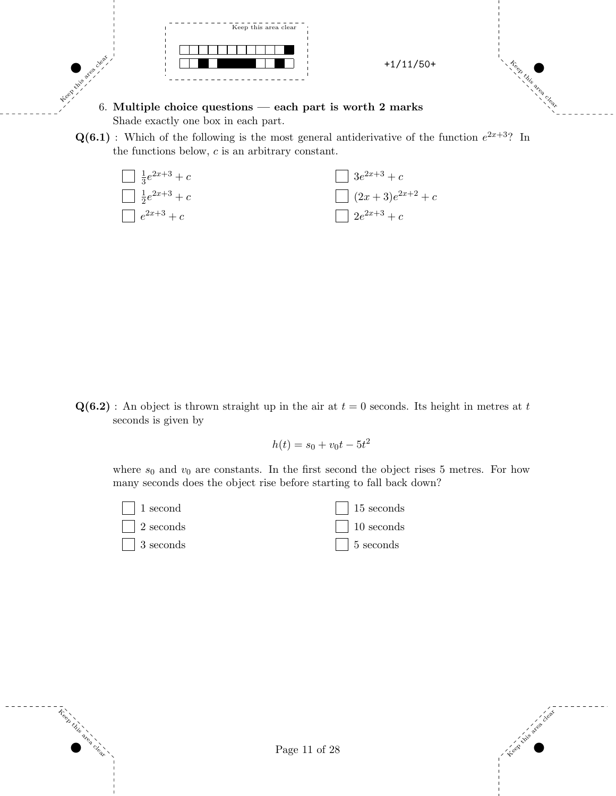

6. Multiple choice questions  $-$  each part is worth 2 marks Shade exactly one box in each part.

 $\mathbf{Q(6.1)}$ : Which of the following is the most general antiderivative of the function  $e^{2x+3}$ ? In the functions below, c is an arbitrary constant.



 $Q(6.2)$ : An object is thrown straight up in the air at  $t = 0$  seconds. Its height in metres at t seconds is given by

 $h(t) = s_0 + v_0 t - 5t^2$ 

where  $s_0$  and  $v_0$  are constants. In the first second the object rises 5 metres. For how many seconds does the object rise before starting to fall back down?





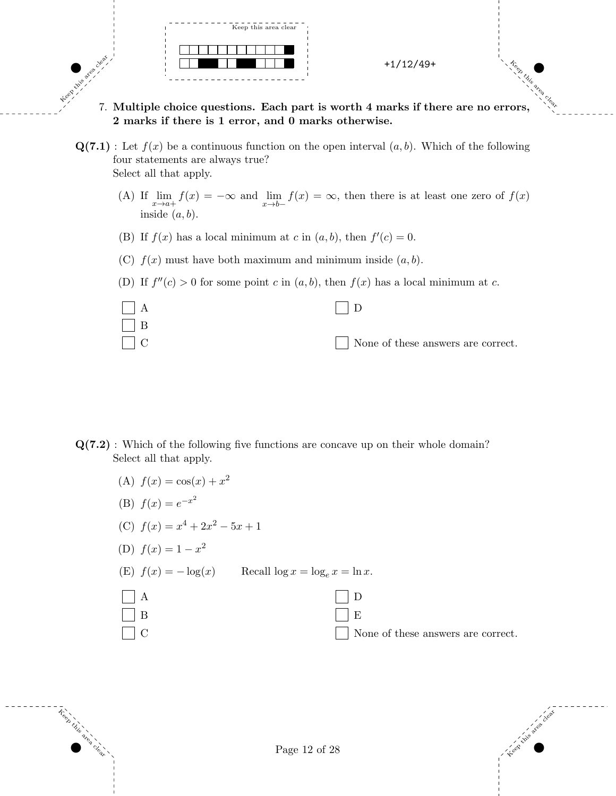

Clear.

Keep this area clear

- Keep this area clear. 7. Multiple choice questions. Each part is worth 4 marks if there are no errors, 2 marks if there is 1 error, and 0 marks otherwise.
	- $\mathbf{Q(7.1)}$ : Let  $f(x)$  be a continuous function on the open interval  $(a, b)$ . Which of the following four statements are always true? Select all that apply.
		- (A) If  $\lim_{x \to a^+} f(x) = -\infty$  and  $\lim_{x \to b^-} f(x) = \infty$ , then there is at least one zero of  $f(x)$ inside  $(a, b)$ .
		- (B) If  $f(x)$  has a local minimum at c in  $(a, b)$ , then  $f'(c) = 0$ .
		- (C)  $f(x)$  must have both maximum and minimum inside  $(a, b)$ .
		- (D) If  $f''(c) > 0$  for some point c in  $(a, b)$ , then  $f(x)$  has a local minimum at c.



- Q(7.2) : Which of the following five functions are concave up on their whole domain? Select all that apply.
	- (A)  $f(x) = \cos(x) + x^2$
	- (B)  $f(x) = e^{-x^2}$
	- (C)  $f(x) = x^4 + 2x^2 5x + 1$
	- (D)  $f(x) = 1 x^2$

Keep this

area clear. (E)  $f(x) = -\log(x)$  Recall  $\log x = \log_e x = \ln x$ .

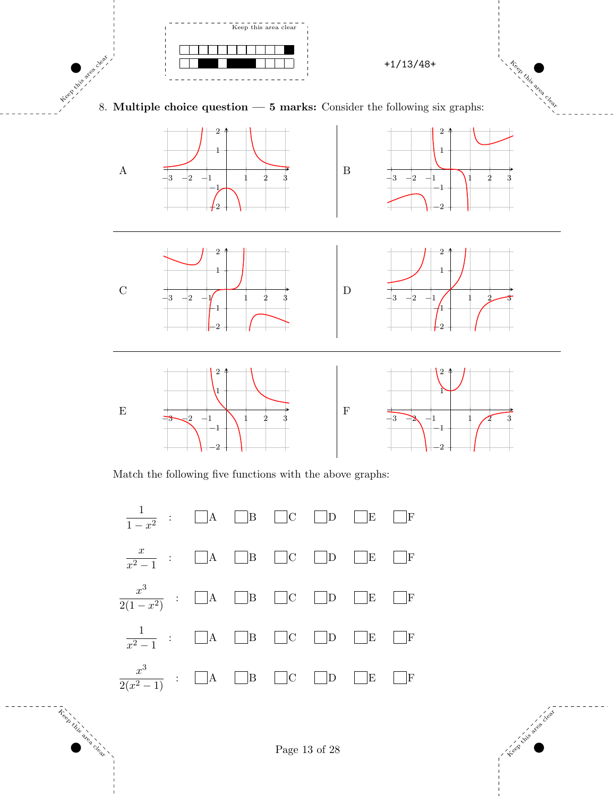

8. Multiple choice question — 5 marks: Consider the following six graphs:



Match the following five functions with the above graphs:



Keep this

area clear. Kiteep this axea

Clear.

Page 13 of 28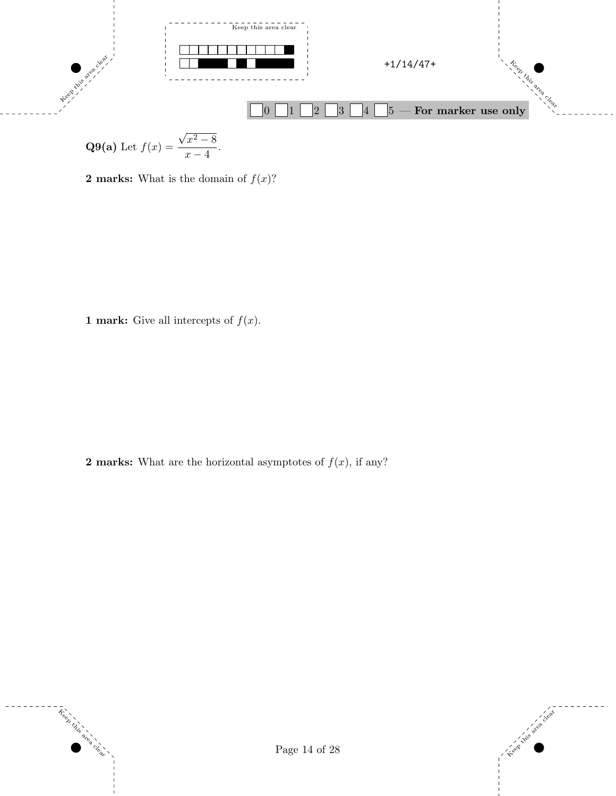

**Q9(a)** Let 
$$
f(x) = \frac{\sqrt{x^2 - 8}}{x - 4}
$$
.

**2 marks:** What is the domain of  $f(x)$ ?

**1 mark:** Give all intercepts of  $f(x)$ .

**2 marks:** What are the horizontal asymptotes of  $f(x)$ , if any?



 $\tilde{\tau}^{\text{e}}$ 

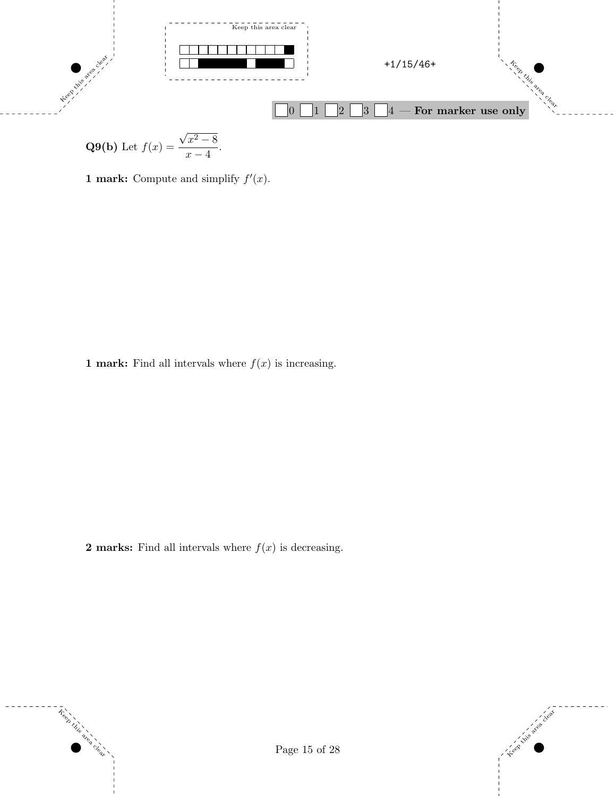

**Q9(b)** Let 
$$
f(x) = \frac{\sqrt{x^2 - 8}}{x - 4}
$$
.

1 mark: Compute and simplify  $f'(x)$ .

**1 mark:** Find all intervals where  $f(x)$  is increasing.

**2 marks:** Find all intervals where  $f(x)$  is decreasing.



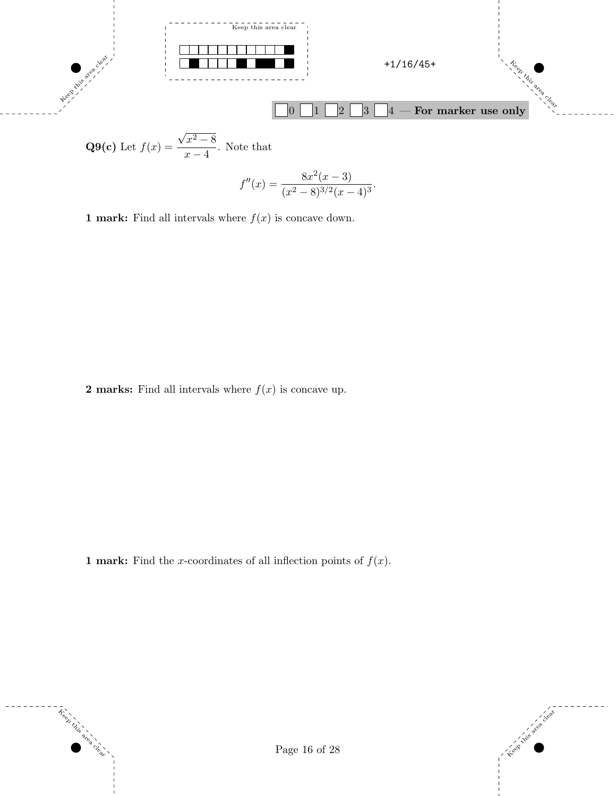

$$
f''(x) = \frac{8x^2(x-3)}{(x^2-8)^{3/2}(x-4)^3}.
$$

**1 mark:** Find all intervals where  $f(x)$  is concave down.

**2 marks:** Find all intervals where  $f(x)$  is concave up.

**1 mark:** Find the x-coordinates of all inflection points of  $f(x)$ .



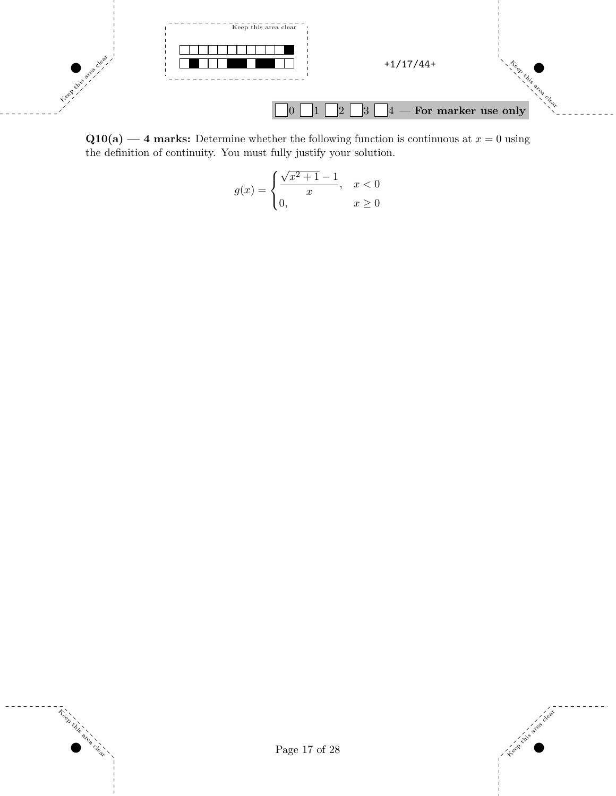

 $Q10(a)$  — 4 marks: Determine whether the following function is continuous at  $x = 0$  using the definition of continuity. You must fully justify your solution.

$$
g(x) = \begin{cases} \frac{\sqrt{x^2 + 1} - 1}{x}, & x < 0\\ 0, & x \ge 0 \end{cases}
$$



Treet

area clear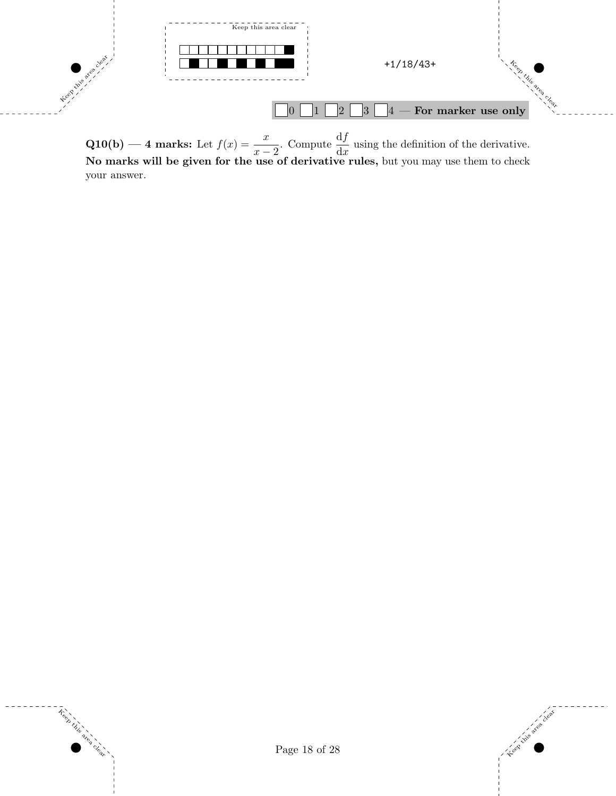

**Q10(b)** — 4 marks: Let  $f(x) = \frac{x}{x-2}$ . Compute  $\frac{df}{dx}$  using the definition of the derivative. No marks will be given for the use of derivative rules, but you may use them to check your answer.

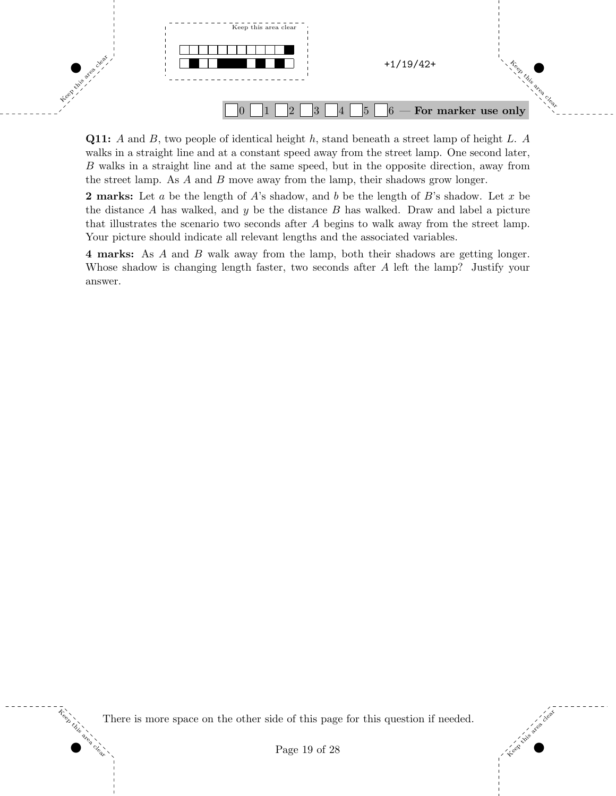

**Q11:** A and B, two people of identical height h, stand beneath a street lamp of height L. A walks in a straight line and at a constant speed away from the street lamp. One second later, B walks in a straight line and at the same speed, but in the opposite direction, away from the street lamp. As A and B move away from the lamp, their shadows grow longer.

**2 marks:** Let a be the length of A's shadow, and b be the length of B's shadow. Let x be the distance A has walked, and  $y$  be the distance  $B$  has walked. Draw and label a picture that illustrates the scenario two seconds after A begins to walk away from the street lamp. Your picture should indicate all relevant lengths and the associated variables.

4 marks: As A and B walk away from the lamp, both their shadows are getting longer. Whose shadow is changing length faster, two seconds after A left the lamp? Justify your answer.

There is more space on the other side of this page for this question if needed.

Keep this

area clear

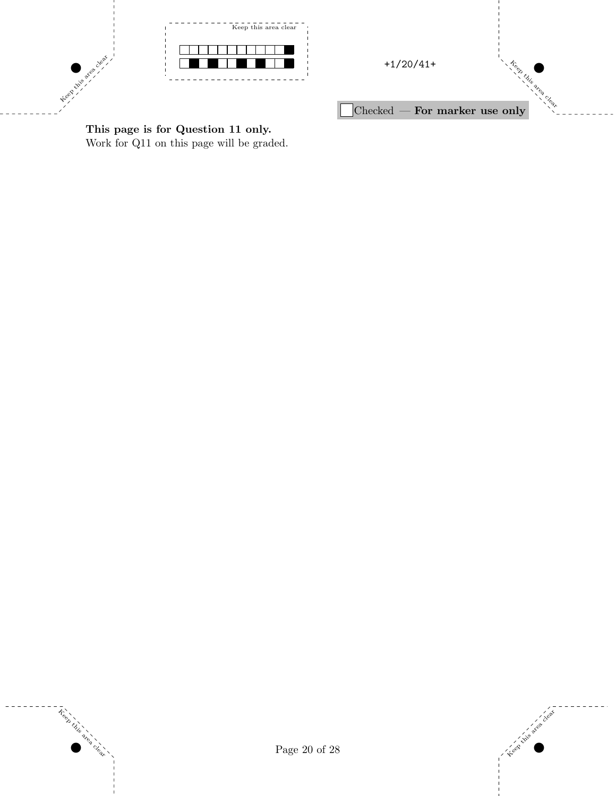



This page is for Question 11 only. Work for Q11 on this page will be graded.





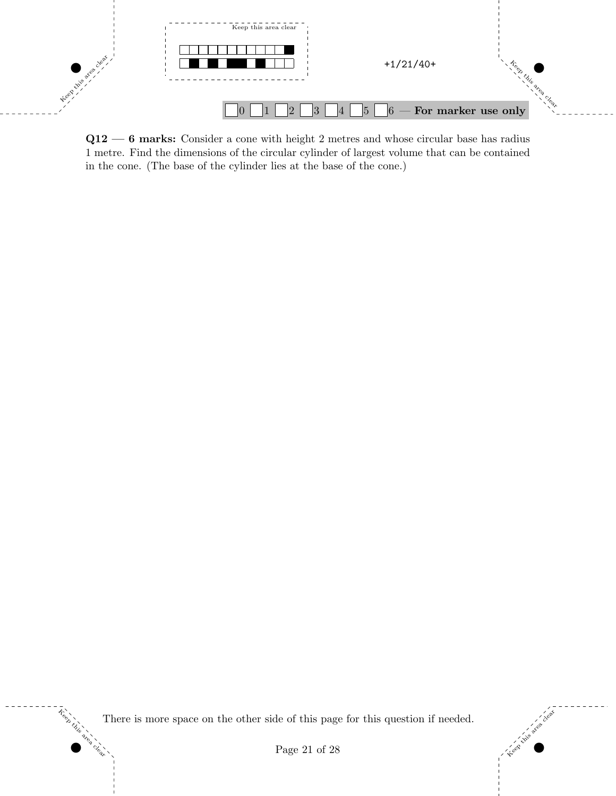

Q12 — 6 marks: Consider a cone with height 2 metres and whose circular base has radius 1 metre. Find the dimensions of the circular cylinder of largest volume that can be contained in the cone. (The base of the cylinder lies at the base of the cone.)

There is more space on the other side of this page for this question if needed.

Keep this

area clear



Page 21 of 28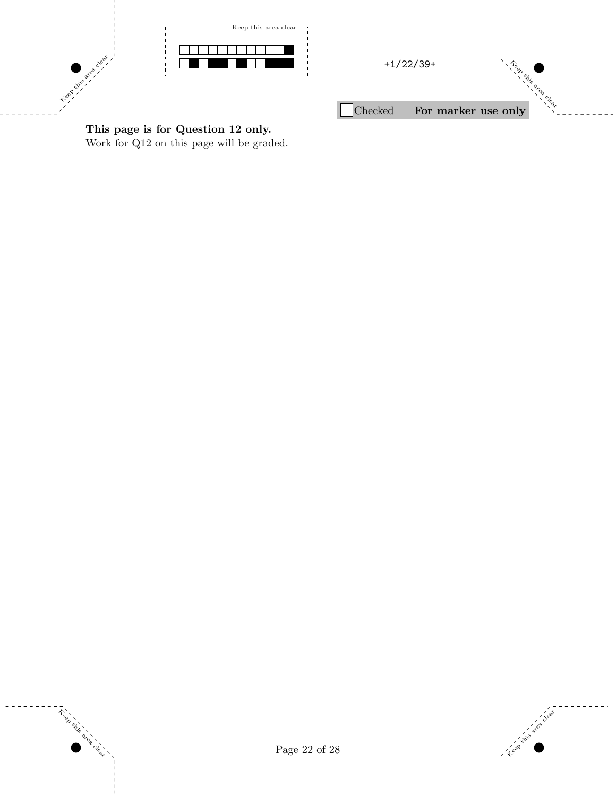

Treet

area clear



This page is for Question 12 only. Work for Q12 on this page will be graded.

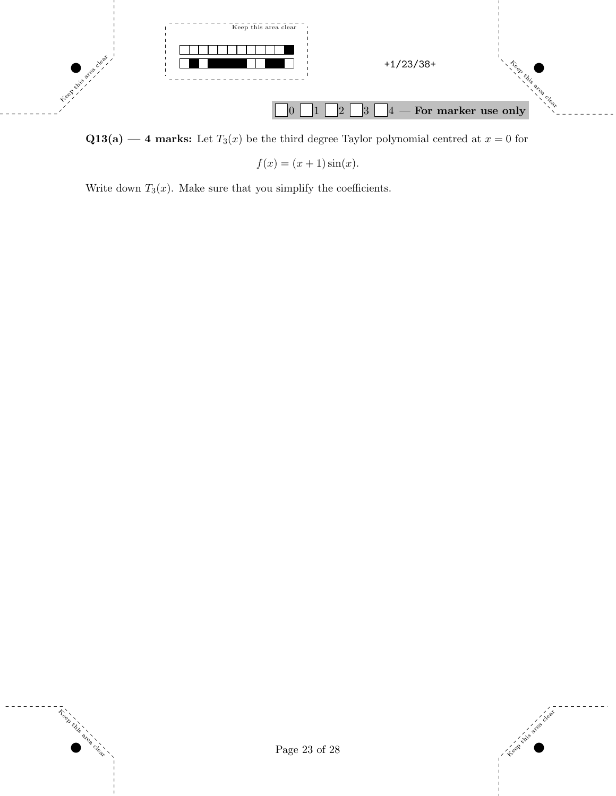

 $Q13(a)$  — 4 marks: Let  $T_3(x)$  be the third degree Taylor polynomial centred at  $x = 0$  for

 $f(x) = (x + 1) \sin(x)$ .

Write down  $T_3(x)$ . Make sure that you simplify the coefficients.



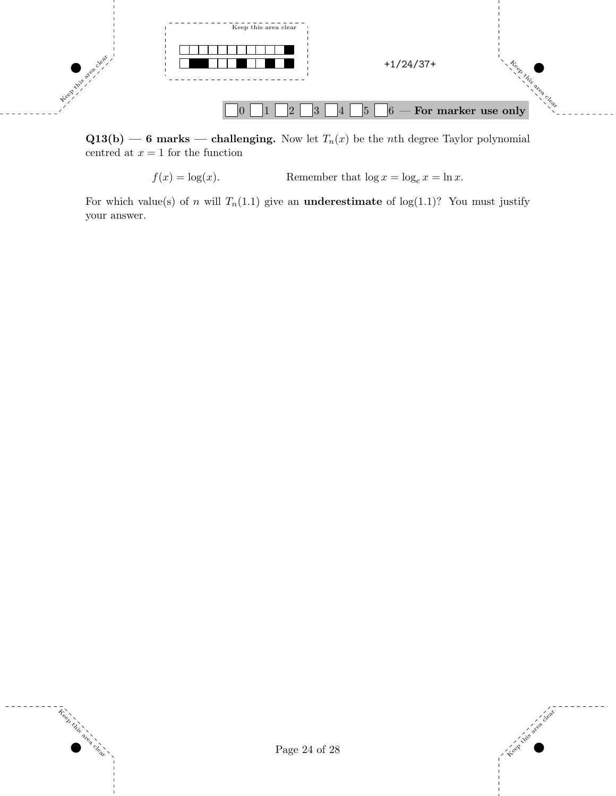

 $Q13(b)$  — 6 marks — challenging. Now let  $T_n(x)$  be the nth degree Taylor polynomial centred at  $x = 1$  for the function

 $f(x) = \log(x)$ . Remember that  $\log x = \log_e x = \ln x$ .

For which value(s) of n will  $T_n(1.1)$  give an **underestimate** of  $log(1.1)$ ? You must justify your answer.

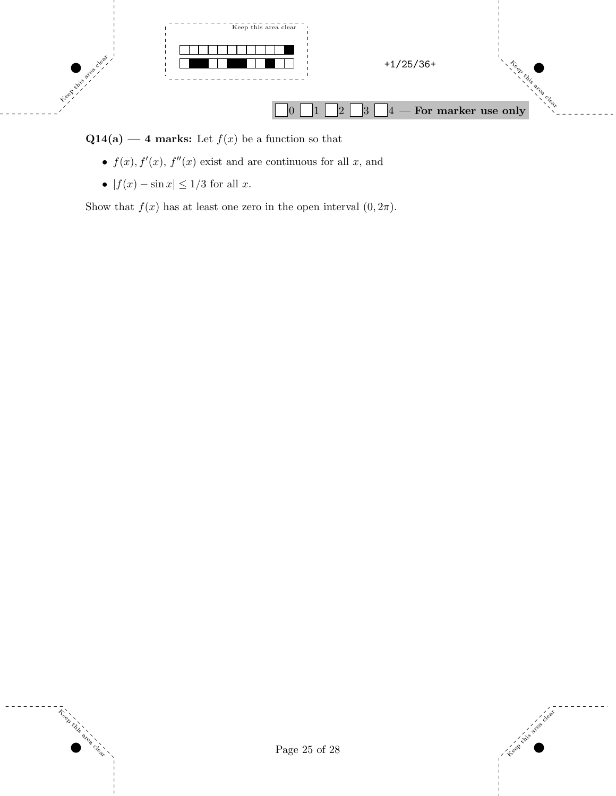

 $Q14(a)$  — 4 marks: Let  $f(x)$  be a function so that

- $f(x)$ ,  $f'(x)$ ,  $f''(x)$  exist and are continuous for all x, and
- $|f(x) \sin x| \leq 1/3$  for all x.

Show that  $f(x)$  has at least one zero in the open interval  $(0, 2\pi)$ .



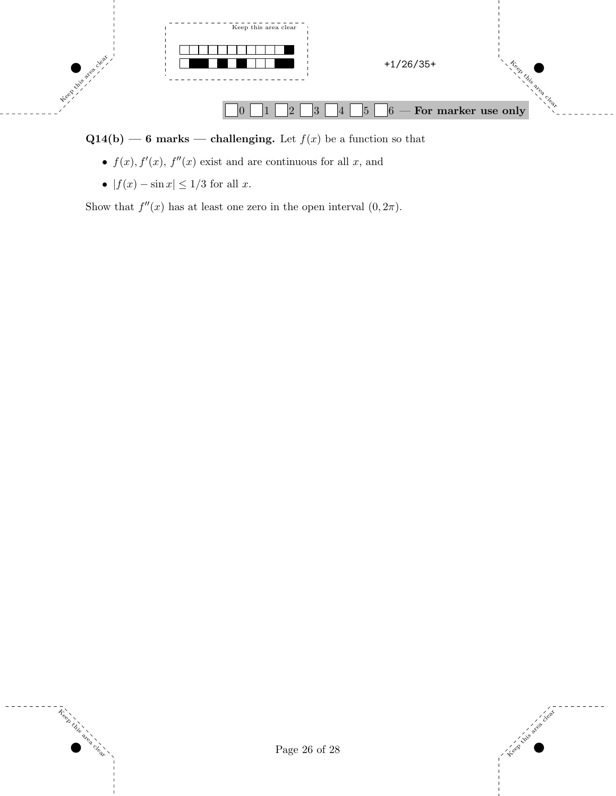

 $Q14(b)$  — 6 marks — challenging. Let  $f(x)$  be a function so that

- $f(x)$ ,  $f'(x)$ ,  $f''(x)$  exist and are continuous for all x, and
- $|f(x) \sin x| \leq 1/3$  for all x.

Show that  $f''(x)$  has at least one zero in the open interval  $(0, 2\pi)$ .

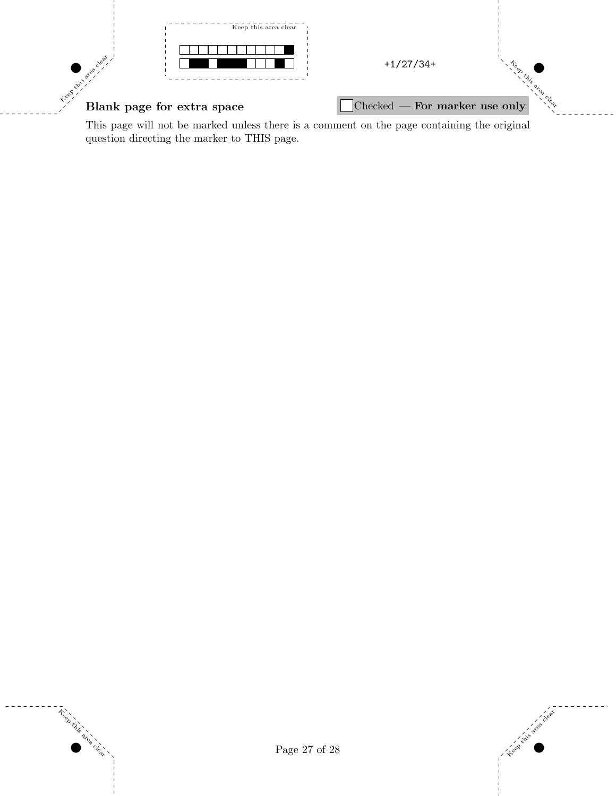

This page will not be marked unless there is a comment on the page containing the original question directing the marker to THIS page.



 $\tilde{\tau}_{\text{e}}^{\text{e}}$ 

area clear